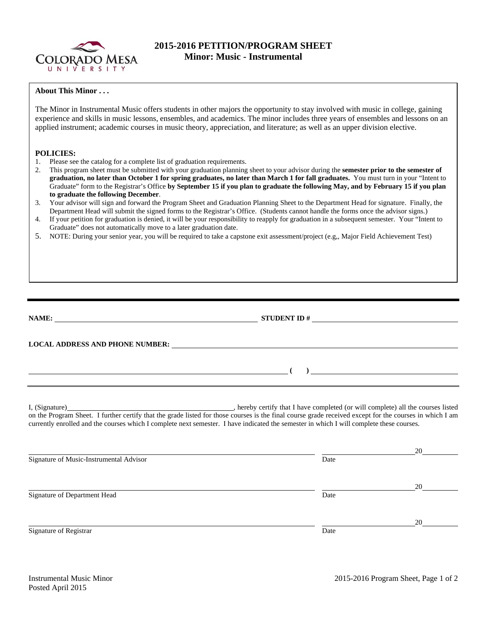

## **2015-2016 PETITION/PROGRAM SHEET Minor: Music - Instrumental**

## **About This Minor . . .**

The Minor in Instrumental Music offers students in other majors the opportunity to stay involved with music in college, gaining experience and skills in music lessons, ensembles, and academics. The minor includes three years of ensembles and lessons on an applied instrument; academic courses in music theory, appreciation, and literature; as well as an upper division elective.

## **POLICIES:**

- 1. Please see the catalog for a complete list of graduation requirements.
- 2. This program sheet must be submitted with your graduation planning sheet to your advisor during the **semester prior to the semester of graduation, no later than October 1 for spring graduates, no later than March 1 for fall graduates.** You must turn in your "Intent to Graduate" form to the Registrar's Office **by September 15 if you plan to graduate the following May, and by February 15 if you plan to graduate the following December**.
- 3. Your advisor will sign and forward the Program Sheet and Graduation Planning Sheet to the Department Head for signature. Finally, the Department Head will submit the signed forms to the Registrar's Office. (Students cannot handle the forms once the advisor signs.)
- 4. If your petition for graduation is denied, it will be your responsibility to reapply for graduation in a subsequent semester. Your "Intent to Graduate" does not automatically move to a later graduation date.
- 5. NOTE: During your senior year, you will be required to take a capstone exit assessment/project (e.g,, Major Field Achievement Test)

**NAME:** STUDENT ID # **LOCAL ADDRESS AND PHONE NUMBER: ( )**  I, (Signature) , hereby certify that I have completed (or will complete) all the courses listed on the Program Sheet. I further certify that the grade listed for those courses is the final course grade received except for the courses in which I am currently enrolled and the courses which I complete next semester. I have indicated the semester in which I will complete these courses. 20 Signature of Music-Instrumental Advisor Date

20 Signature of Department Head Date 20 Signature of Registrar Date